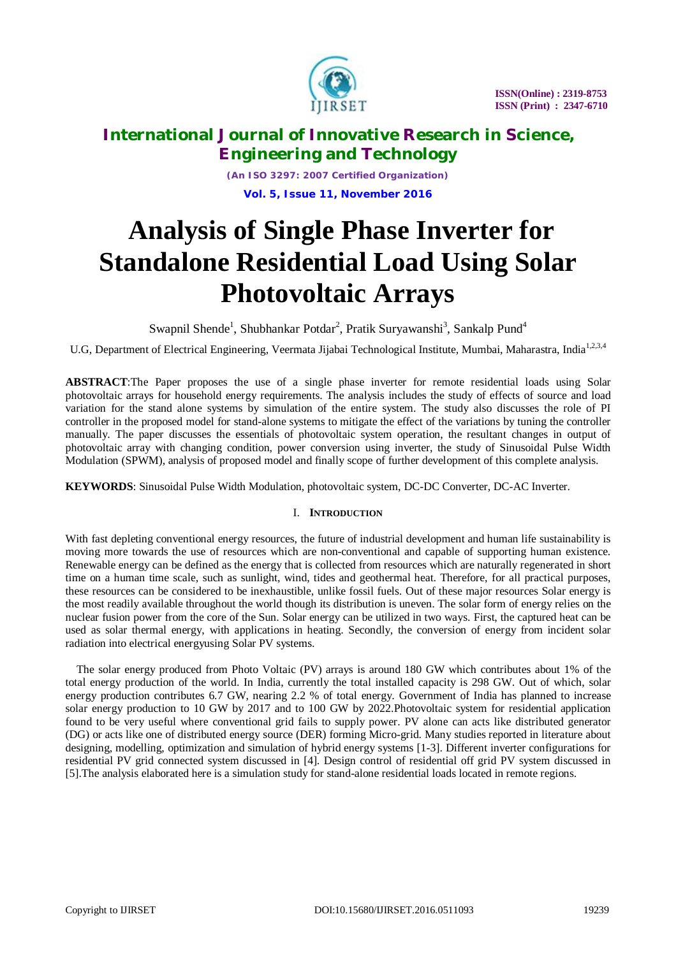

*(An ISO 3297: 2007 Certified Organization)* **Vol. 5, Issue 11, November 2016**

# **Analysis of Single Phase Inverter for Standalone Residential Load Using Solar Photovoltaic Arrays**

Swapnil Shende<sup>1</sup>, Shubhankar Potdar<sup>2</sup>, Pratik Suryawanshi<sup>3</sup>, Sankalp Pund<sup>4</sup>

U.G, Department of Electrical Engineering, Veermata Jijabai Technological Institute, Mumbai, Maharastra, India<sup>1,2,3,4</sup>

**ABSTRACT**:The Paper proposes the use of a single phase inverter for remote residential loads using Solar photovoltaic arrays for household energy requirements. The analysis includes the study of effects of source and load variation for the stand alone systems by simulation of the entire system. The study also discusses the role of PI controller in the proposed model for stand-alone systems to mitigate the effect of the variations by tuning the controller manually. The paper discusses the essentials of photovoltaic system operation, the resultant changes in output of photovoltaic array with changing condition, power conversion using inverter, the study of Sinusoidal Pulse Width Modulation (SPWM), analysis of proposed model and finally scope of further development of this complete analysis.

**KEYWORDS**: Sinusoidal Pulse Width Modulation, photovoltaic system, DC-DC Converter, DC-AC Inverter.

### I. **INTRODUCTION**

With fast depleting conventional energy resources, the future of industrial development and human life sustainability is moving more towards the use of resources which are non-conventional and capable of supporting human existence. Renewable energy can be defined as the energy that is collected from resources which are naturally regenerated in short time on a human time scale, such as sunlight, wind, tides and geothermal heat. Therefore, for all practical purposes, these resources can be considered to be inexhaustible, unlike fossil fuels. Out of these major resources Solar energy is the most readily available throughout the world though its distribution is uneven. The solar form of energy relies on the nuclear fusion power from the core of the Sun. Solar energy can be utilized in two ways. First, the captured heat can be used as solar thermal energy, with applications in heating. Secondly, the conversion of energy from incident solar radiation into electrical energyusing Solar PV systems.

The solar energy produced from Photo Voltaic (PV) arrays is around 180 GW which contributes about 1% of the total energy production of the world. In India, currently the total installed capacity is 298 GW. Out of which, solar energy production contributes 6.7 GW, nearing 2.2 % of total energy. Government of India has planned to increase solar energy production to 10 GW by 2017 and to 100 GW by 2022.Photovoltaic system for residential application found to be very useful where conventional grid fails to supply power. PV alone can acts like distributed generator (DG) or acts like one of distributed energy source (DER) forming Micro-grid. Many studies reported in literature about designing, modelling, optimization and simulation of hybrid energy systems [1-3]. Different inverter configurations for residential PV grid connected system discussed in [4]. Design control of residential off grid PV system discussed in [5].The analysis elaborated here is a simulation study for stand-alone residential loads located in remote regions.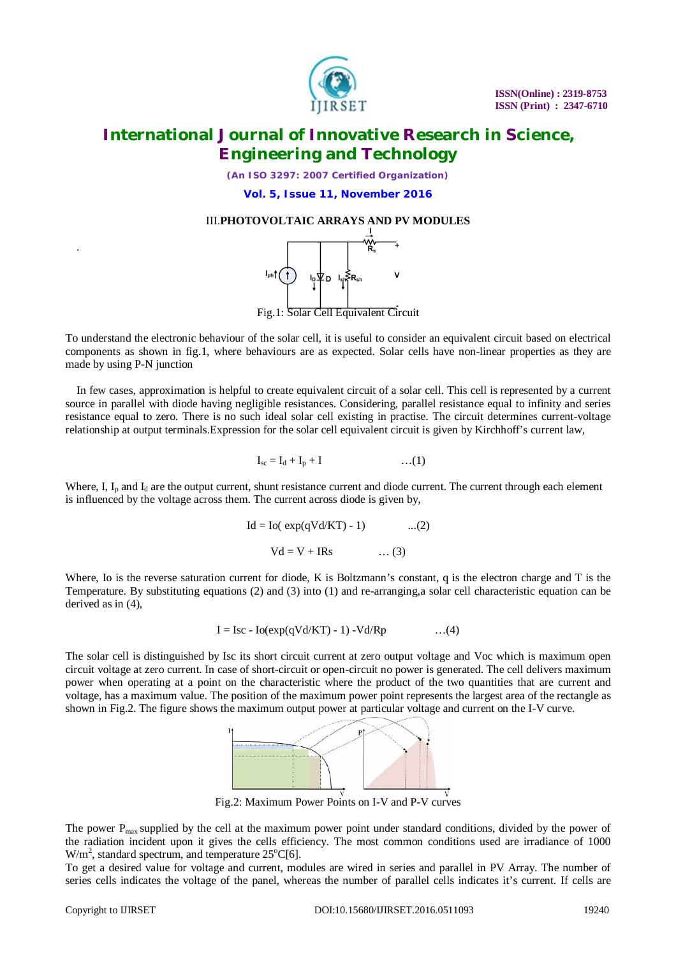

*(An ISO 3297: 2007 Certified Organization)*

**Vol. 5, Issue 11, November 2016**

### III.**PHOTOVOLTAIC ARRAYS AND PV MODULES**



To understand the electronic behaviour of the solar cell, it is useful to consider an equivalent circuit based on electrical components as shown in fig.1, where behaviours are as expected. Solar cells have non-linear properties as they are made by using P-N junction

In few cases, approximation is helpful to create equivalent circuit of a solar cell. This cell is represented by a current source in parallel with diode having negligible resistances. Considering, parallel resistance equal to infinity and series resistance equal to zero. There is no such ideal solar cell existing in practise. The circuit determines current-voltage relationship at output terminals.Expression for the solar cell equivalent circuit is given by Kirchhoff's current law,

$$
I_{sc} = I_d + I_p + I \qquad \qquad \dots (1)
$$

Where, I,  $I_p$  and  $I_d$  are the output current, shunt resistance current and diode current. The current through each element is influenced by the voltage across them. The current across diode is given by,

$$
Id = Io(\exp(qVd/KT) - 1) \qquad ...(2)
$$
  
 
$$
Vd = V + IRs \qquad ...(3)
$$

Where, Io is the reverse saturation current for diode, K is Boltzmann's constant, q is the electron charge and T is the Temperature. By substituting equations (2) and (3) into (1) and re-arranging,a solar cell characteristic equation can be derived as in (4),

$$
I = \text{Isc} - \text{Io}(\exp(qVd/KT) - 1) - Vd/Rp \qquad \qquad \dots (4)
$$

The solar cell is distinguished by Isc its short circuit current at zero output voltage and Voc which is maximum open circuit voltage at zero current. In case of short-circuit or open-circuit no power is generated. The cell delivers maximum power when operating at a point on the characteristic where the product of the two quantities that are current and voltage, has a maximum value. The position of the maximum power point represents the largest area of the rectangle as shown in Fig.2. The figure shows the maximum output power at particular voltage and current on the I-V curve.



Fig.2: Maximum Power Points on I-V and P-V curves

The power  $P_{\text{max}}$  supplied by the cell at the maximum power point under standard conditions, divided by the power of the radiation incident upon it gives the cells efficiency. The most common conditions used are irradiance of 1000  $W/m<sup>2</sup>$ , standard spectrum, and temperature 25 $^{\circ}$ C[6].

To get a desired value for voltage and current, modules are wired in series and parallel in PV Array. The number of series cells indicates the voltage of the panel, whereas the number of parallel cells indicates it's current. If cells are

.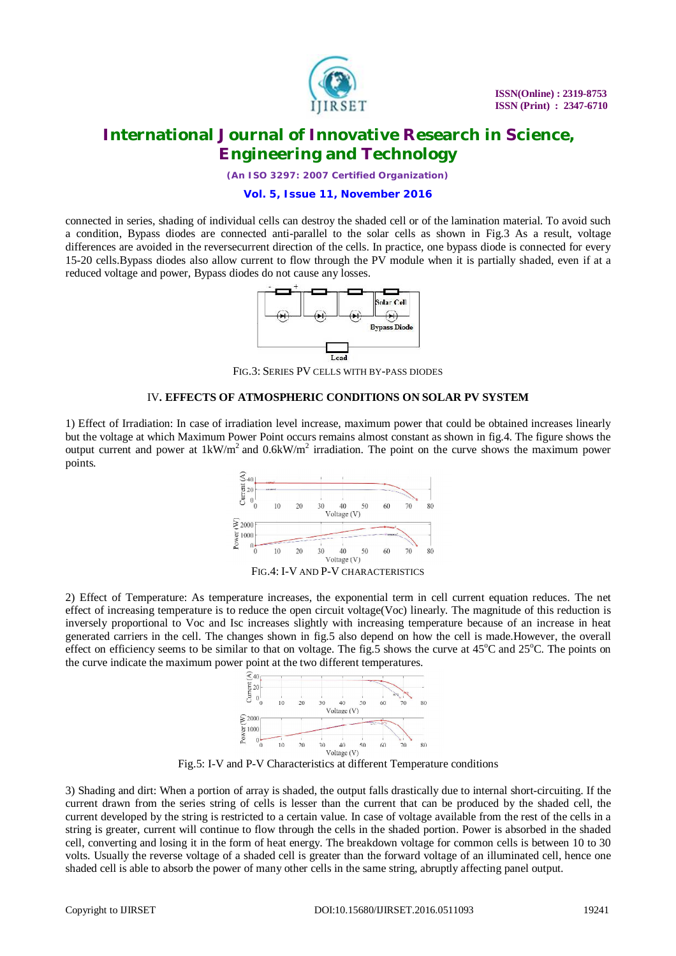

*(An ISO 3297: 2007 Certified Organization)*

#### **Vol. 5, Issue 11, November 2016**

connected in series, shading of individual cells can destroy the shaded cell or of the lamination material. To avoid such a condition, Bypass diodes are connected anti-parallel to the solar cells as shown in Fig.3 As a result, voltage differences are avoided in the reversecurrent direction of the cells. In practice, one bypass diode is connected for every 15-20 cells.Bypass diodes also allow current to flow through the PV module when it is partially shaded, even if at a reduced voltage and power, Bypass diodes do not cause any losses.



FIG.3: SERIES PV CELLS WITH BY-PASS DIODES

#### IV**. EFFECTS OF ATMOSPHERIC CONDITIONS ON SOLAR PV SYSTEM**

1) Effect of Irradiation: In case of irradiation level increase, maximum power that could be obtained increases linearly but the voltage at which Maximum Power Point occurs remains almost constant as shown in fig.4. The figure shows the output current and power at  $1 \text{kW/m}^2$  and  $0.6 \text{kW/m}^2$  irradiation. The point on the curve shows the maximum power points.



2) Effect of Temperature: As temperature increases, the exponential term in cell current equation reduces. The net effect of increasing temperature is to reduce the open circuit voltage(Voc) linearly. The magnitude of this reduction is inversely proportional to Voc and Isc increases slightly with increasing temperature because of an increase in heat generated carriers in the cell. The changes shown in fig.5 also depend on how the cell is made.However, the overall effect on efficiency seems to be similar to that on voltage. The fig.5 shows the curve at  $45^{\circ}$ C and  $25^{\circ}$ C. The points on the curve indicate the maximum power point at the two different temperatures.



Fig.5: I-V and P-V Characteristics at different Temperature conditions

3) Shading and dirt: When a portion of array is shaded, the output falls drastically due to internal short-circuiting. If the current drawn from the series string of cells is lesser than the current that can be produced by the shaded cell, the current developed by the string is restricted to a certain value. In case of voltage available from the rest of the cells in a string is greater, current will continue to flow through the cells in the shaded portion. Power is absorbed in the shaded cell, converting and losing it in the form of heat energy. The breakdown voltage for common cells is between 10 to 30 volts. Usually the reverse voltage of a shaded cell is greater than the forward voltage of an illuminated cell, hence one shaded cell is able to absorb the power of many other cells in the same string, abruptly affecting panel output.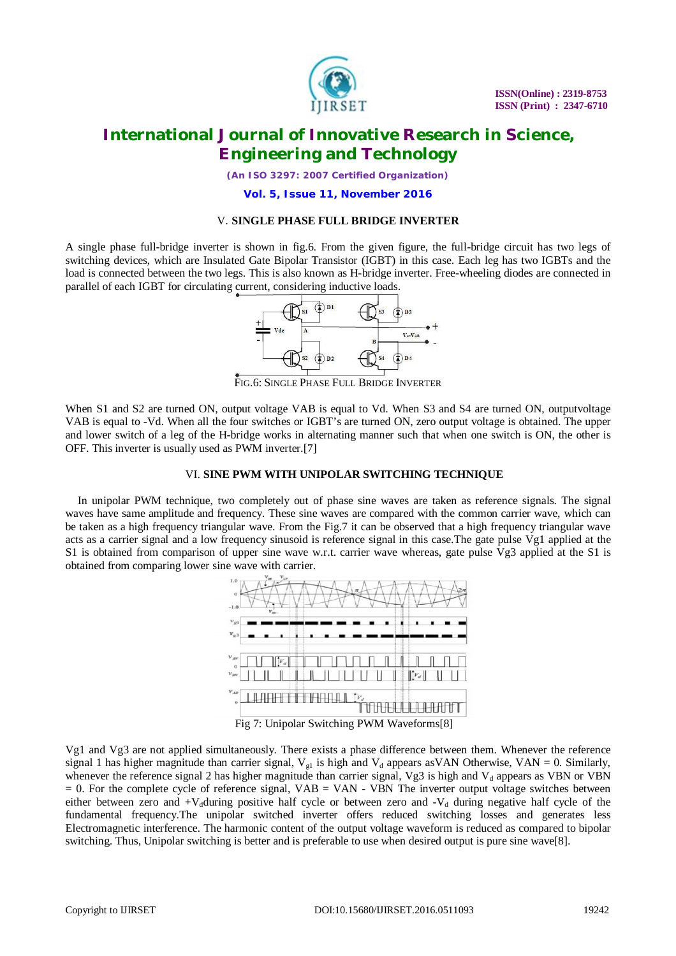

*(An ISO 3297: 2007 Certified Organization)*

**Vol. 5, Issue 11, November 2016**

### V. **SINGLE PHASE FULL BRIDGE INVERTER**

A single phase full-bridge inverter is shown in fig.6. From the given figure, the full-bridge circuit has two legs of switching devices, which are Insulated Gate Bipolar Transistor (IGBT) in this case. Each leg has two IGBTs and the load is connected between the two legs. This is also known as H-bridge inverter. Free-wheeling diodes are connected in parallel of each IGBT for circulating current, considering inductive loads.



FIG.6: SINGLE PHASE FULL BRIDGE INVERTER

When S1 and S2 are turned ON, output voltage VAB is equal to Vd. When S3 and S4 are turned ON, outputvoltage VAB is equal to -Vd. When all the four switches or IGBT's are turned ON, zero output voltage is obtained. The upper and lower switch of a leg of the H-bridge works in alternating manner such that when one switch is ON, the other is OFF. This inverter is usually used as PWM inverter.[7]

#### VI. **SINE PWM WITH UNIPOLAR SWITCHING TECHNIQUE**

In unipolar PWM technique, two completely out of phase sine waves are taken as reference signals. The signal waves have same amplitude and frequency. These sine waves are compared with the common carrier wave, which can be taken as a high frequency triangular wave. From the Fig.7 it can be observed that a high frequency triangular wave acts as a carrier signal and a low frequency sinusoid is reference signal in this case.The gate pulse Vg1 applied at the S1 is obtained from comparison of upper sine wave w.r.t. carrier wave whereas, gate pulse Vg3 applied at the S1 is obtained from comparing lower sine wave with carrier.



Vg1 and Vg3 are not applied simultaneously. There exists a phase difference between them. Whenever the reference signal 1 has higher magnitude than carrier signal,  $V_{gl}$  is high and  $V_{d}$  appears asVAN Otherwise, VAN = 0. Similarly, whenever the reference signal 2 has higher magnitude than carrier signal, Vg3 is high and  $V<sub>d</sub>$  appears as VBN or VBN  $= 0$ . For the complete cycle of reference signal, VAB  $=$  VAN - VBN The inverter output voltage switches between either between zero and  $+V_d$ during positive half cycle or between zero and  $-V_d$  during negative half cycle of the fundamental frequency.The unipolar switched inverter offers reduced switching losses and generates less Electromagnetic interference. The harmonic content of the output voltage waveform is reduced as compared to bipolar switching. Thus, Unipolar switching is better and is preferable to use when desired output is pure sine wave[8].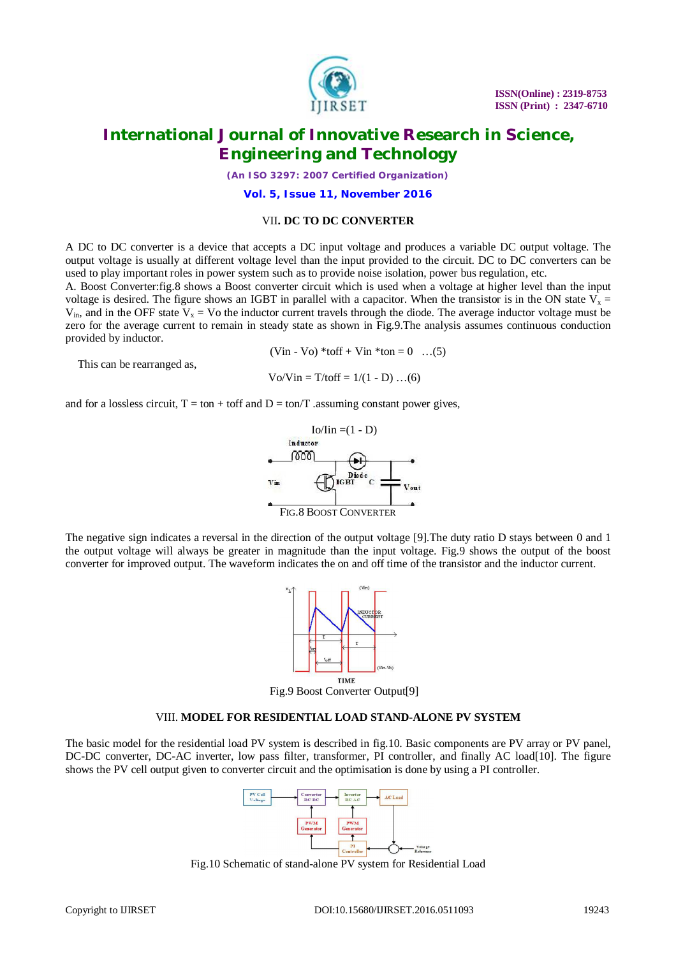

*(An ISO 3297: 2007 Certified Organization)*

**Vol. 5, Issue 11, November 2016**

### VII**. DC TO DC CONVERTER**

A DC to DC converter is a device that accepts a DC input voltage and produces a variable DC output voltage. The output voltage is usually at different voltage level than the input provided to the circuit. DC to DC converters can be used to play important roles in power system such as to provide noise isolation, power bus regulation, etc.

A. Boost Converter:fig.8 shows a Boost converter circuit which is used when a voltage at higher level than the input voltage is desired. The figure shows an IGBT in parallel with a capacitor. When the transistor is in the ON state  $V<sub>x</sub> =$  $V_{in}$ , and in the OFF state  $V_x = V_0$  the inductor current travels through the diode. The average inductor voltage must be zero for the average current to remain in steady state as shown in Fig.9.The analysis assumes continuous conduction provided by inductor.

 $(Vin - Vo) * toff + Vin *ton = 0$  ...(5)

This can be rearranged as,

 $\text{Vo/Vin} = \text{T/toff} = 1/(1 - \text{D}) \dots (6)$ 

and for a lossless circuit,  $T = \text{ton} + \text{toff}$  and  $D = \text{ton}/T$  . assuming constant power gives,



The negative sign indicates a reversal in the direction of the output voltage [9].The duty ratio D stays between 0 and 1 the output voltage will always be greater in magnitude than the input voltage. Fig.9 shows the output of the boost converter for improved output. The waveform indicates the on and off time of the transistor and the inductor current.



Fig.9 Boost Converter Output[9]

#### VIII. **MODEL FOR RESIDENTIAL LOAD STAND-ALONE PV SYSTEM**

The basic model for the residential load PV system is described in fig.10. Basic components are PV array or PV panel, DC-DC converter, DC-AC inverter, low pass filter, transformer, PI controller, and finally AC load[10]. The figure shows the PV cell output given to converter circuit and the optimisation is done by using a PI controller.



Fig.10 Schematic of stand-alone PV system for Residential Load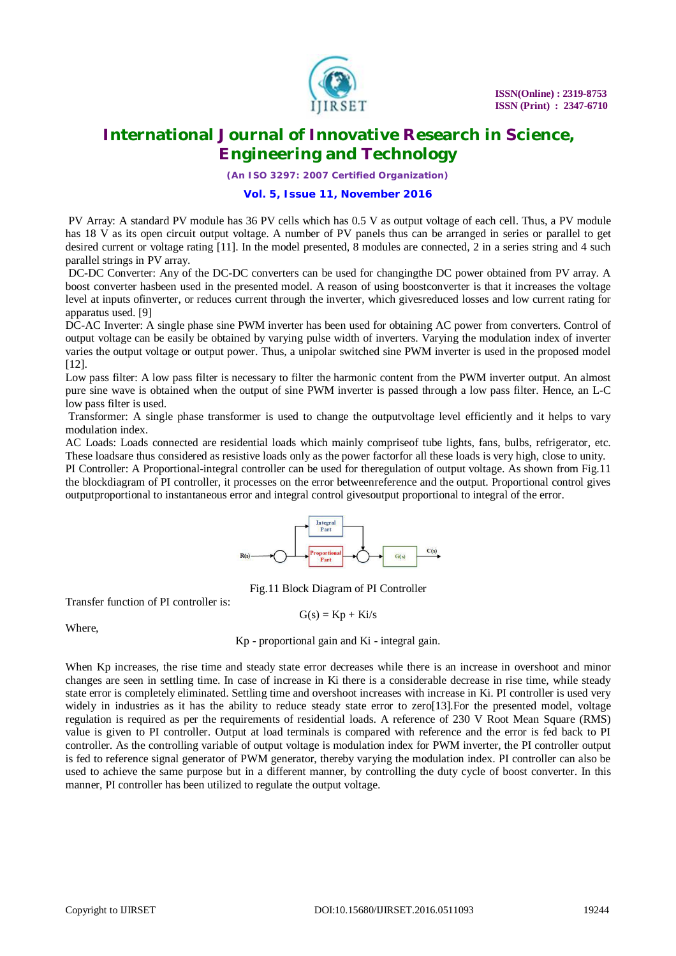

*(An ISO 3297: 2007 Certified Organization)*

### **Vol. 5, Issue 11, November 2016**

PV Array: A standard PV module has 36 PV cells which has 0.5 V as output voltage of each cell. Thus, a PV module has 18 V as its open circuit output voltage. A number of PV panels thus can be arranged in series or parallel to get desired current or voltage rating [11]. In the model presented, 8 modules are connected, 2 in a series string and 4 such parallel strings in PV array.

DC-DC Converter: Any of the DC-DC converters can be used for changingthe DC power obtained from PV array. A boost converter hasbeen used in the presented model. A reason of using boostconverter is that it increases the voltage level at inputs ofinverter, or reduces current through the inverter, which givesreduced losses and low current rating for apparatus used. [9]

DC-AC Inverter: A single phase sine PWM inverter has been used for obtaining AC power from converters. Control of output voltage can be easily be obtained by varying pulse width of inverters. Varying the modulation index of inverter varies the output voltage or output power. Thus, a unipolar switched sine PWM inverter is used in the proposed model [12].

Low pass filter: A low pass filter is necessary to filter the harmonic content from the PWM inverter output. An almost pure sine wave is obtained when the output of sine PWM inverter is passed through a low pass filter. Hence, an L-C low pass filter is used.

Transformer: A single phase transformer is used to change the outputvoltage level efficiently and it helps to vary modulation index.

AC Loads: Loads connected are residential loads which mainly compriseof tube lights, fans, bulbs, refrigerator, etc. These loadsare thus considered as resistive loads only as the power factorfor all these loads is very high, close to unity. PI Controller: A Proportional-integral controller can be used for theregulation of output voltage. As shown from Fig.11 the blockdiagram of PI controller, it processes on the error betweenreference and the output. Proportional control gives outputproportional to instantaneous error and integral control givesoutput proportional to integral of the error.



Fig.11 Block Diagram of PI Controller

Transfer function of PI controller is:

$$
G(s) = Kp + Ki/s
$$

Where,

Kp - proportional gain and Ki - integral gain.

When Kp increases, the rise time and steady state error decreases while there is an increase in overshoot and minor changes are seen in settling time. In case of increase in Ki there is a considerable decrease in rise time, while steady state error is completely eliminated. Settling time and overshoot increases with increase in Ki. PI controller is used very widely in industries as it has the ability to reduce steady state error to zero[13]. For the presented model, voltage regulation is required as per the requirements of residential loads. A reference of 230 V Root Mean Square (RMS) value is given to PI controller. Output at load terminals is compared with reference and the error is fed back to PI controller. As the controlling variable of output voltage is modulation index for PWM inverter, the PI controller output is fed to reference signal generator of PWM generator, thereby varying the modulation index. PI controller can also be used to achieve the same purpose but in a different manner, by controlling the duty cycle of boost converter. In this manner, PI controller has been utilized to regulate the output voltage.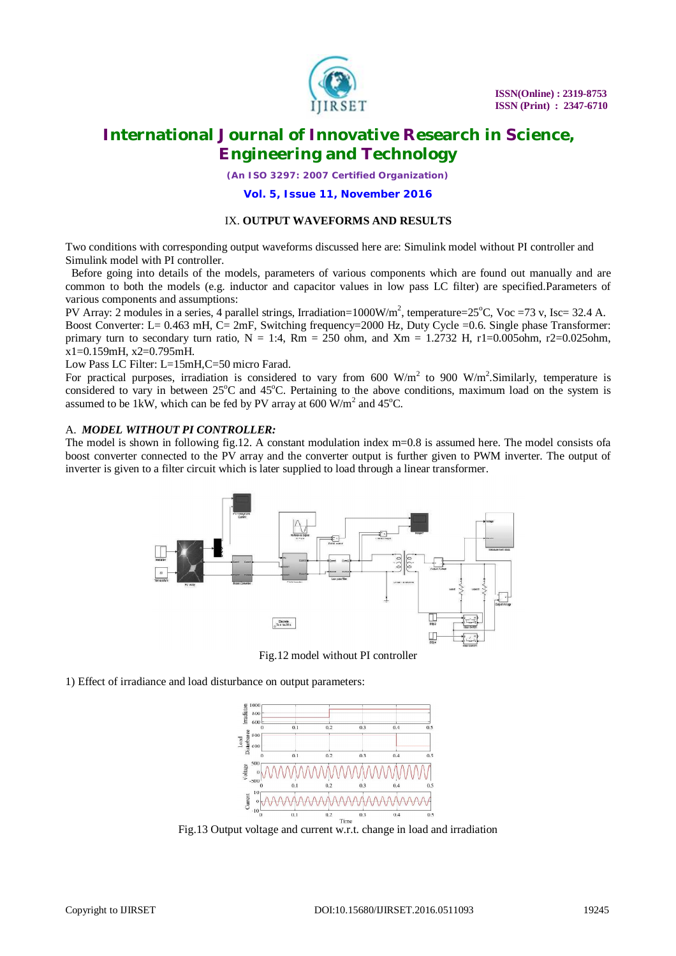

*(An ISO 3297: 2007 Certified Organization)*

#### **Vol. 5, Issue 11, November 2016**

#### IX. **OUTPUT WAVEFORMS AND RESULTS**

Two conditions with corresponding output waveforms discussed here are: Simulink model without PI controller and Simulink model with PI controller.

 Before going into details of the models, parameters of various components which are found out manually and are common to both the models (e.g. inductor and capacitor values in low pass LC filter) are specified.Parameters of various components and assumptions:

PV Array: 2 modules in a series, 4 parallel strings, Irradiation=1000W/m<sup>2</sup>, temperature=25°C, Voc =73 v, Isc= 32.4 A. Boost Converter: L= 0.463 mH, C= 2mF, Switching frequency=2000 Hz, Duty Cycle =0.6. Single phase Transformer: primary turn to secondary turn ratio,  $N = 1:4$ ,  $Rm = 250$  ohm, and  $Xm = 1.2732$  H, r1=0.005ohm, r2=0.025ohm, x1=0.159mH, x2=0.795mH.

Low Pass LC Filter: L=15mH,C=50 micro Farad.

For practical purposes, irradiation is considered to vary from 600 W/m<sup>2</sup> to 900 W/m<sup>2</sup>. Similarly, temperature is considered to vary in between  $25^{\circ}$ C and  $45^{\circ}$ C. Pertaining to the above conditions, maximum load on the system is assumed to be 1kW, which can be fed by PV array at 600  $\text{W/m}^2$  and 45°C.

#### A. *MODEL WITHOUT PI CONTROLLER:*

The model is shown in following fig.12. A constant modulation index m=0.8 is assumed here. The model consists ofa boost converter connected to the PV array and the converter output is further given to PWM inverter. The output of inverter is given to a filter circuit which is later supplied to load through a linear transformer.



Fig.12 model without PI controller

1) Effect of irradiance and load disturbance on output parameters:



Fig.13 Output voltage and current w.r.t. change in load and irradiation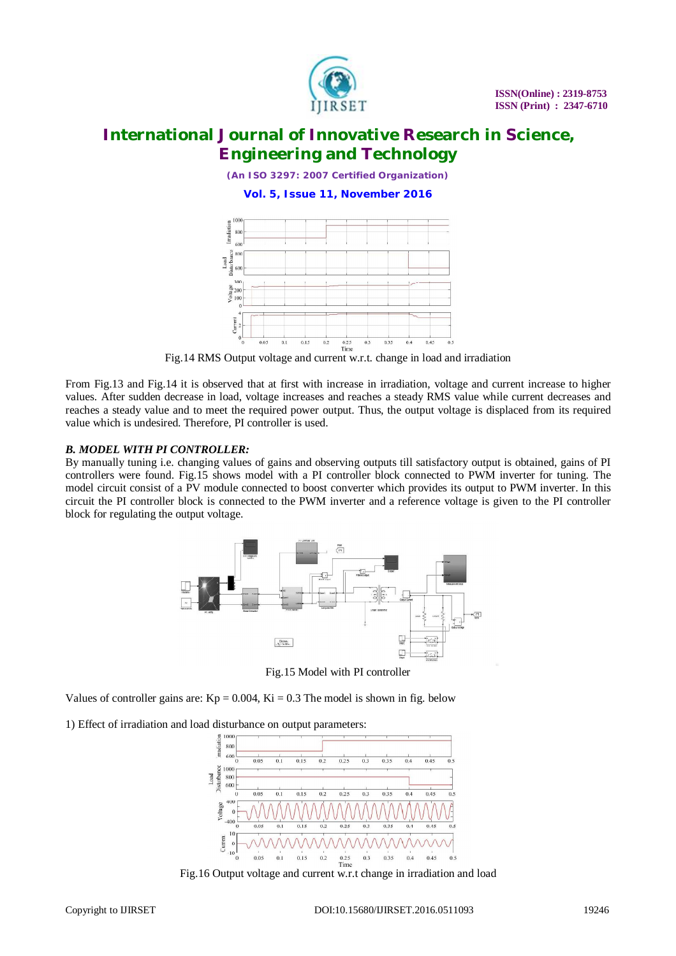

*(An ISO 3297: 2007 Certified Organization)*

**Vol. 5, Issue 11, November 2016**



Fig.14 RMS Output voltage and current w.r.t. change in load and irradiation

From Fig.13 and Fig.14 it is observed that at first with increase in irradiation, voltage and current increase to higher values. After sudden decrease in load, voltage increases and reaches a steady RMS value while current decreases and reaches a steady value and to meet the required power output. Thus, the output voltage is displaced from its required value which is undesired. Therefore, PI controller is used.

### *B. MODEL WITH PI CONTROLLER:*

By manually tuning i.e. changing values of gains and observing outputs till satisfactory output is obtained, gains of PI controllers were found. Fig.15 shows model with a PI controller block connected to PWM inverter for tuning. The model circuit consist of a PV module connected to boost converter which provides its output to PWM inverter. In this circuit the PI controller block is connected to the PWM inverter and a reference voltage is given to the PI controller block for regulating the output voltage.



Fig.15 Model with PI controller

Values of controller gains are:  $Kp = 0.004$ ,  $Ki = 0.3$  The model is shown in fig. below

1) Effect of irradiation and load disturbance on output parameters:



Fig.16 Output voltage and current w.r.t change in irradiation and load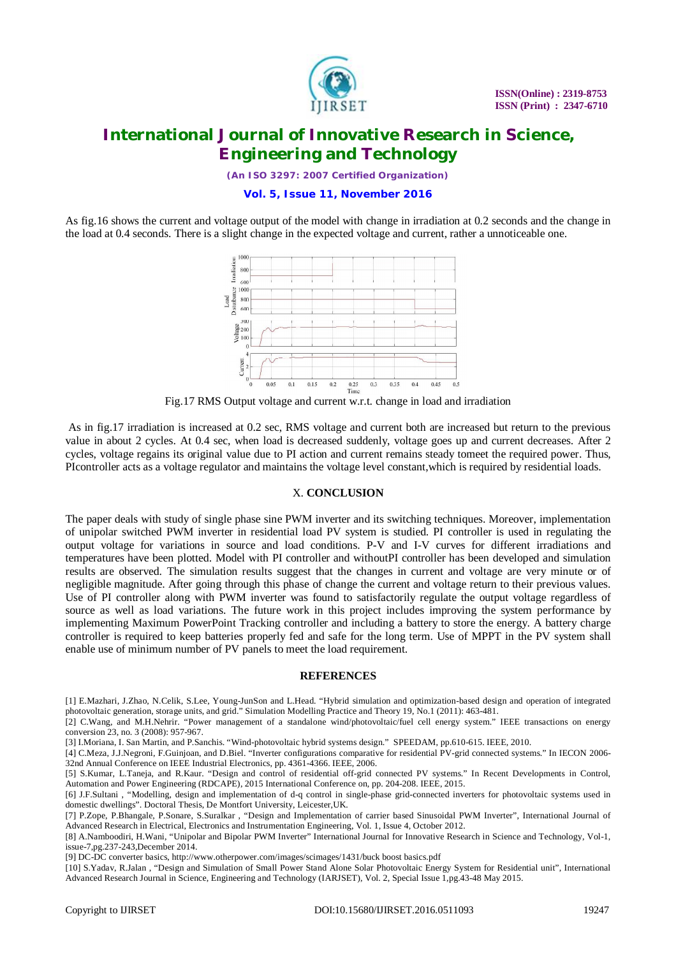

*(An ISO 3297: 2007 Certified Organization)*

#### **Vol. 5, Issue 11, November 2016**

As fig.16 shows the current and voltage output of the model with change in irradiation at 0.2 seconds and the change in the load at 0.4 seconds. There is a slight change in the expected voltage and current, rather a unnoticeable one.



Fig.17 RMS Output voltage and current w.r.t. change in load and irradiation

As in fig.17 irradiation is increased at 0.2 sec, RMS voltage and current both are increased but return to the previous value in about 2 cycles. At 0.4 sec, when load is decreased suddenly, voltage goes up and current decreases. After 2 cycles, voltage regains its original value due to PI action and current remains steady tomeet the required power. Thus, PIcontroller acts as a voltage regulator and maintains the voltage level constant,which is required by residential loads.

#### X. **CONCLUSION**

The paper deals with study of single phase sine PWM inverter and its switching techniques. Moreover, implementation of unipolar switched PWM inverter in residential load PV system is studied. PI controller is used in regulating the output voltage for variations in source and load conditions. P-V and I-V curves for different irradiations and temperatures have been plotted. Model with PI controller and withoutPI controller has been developed and simulation results are observed. The simulation results suggest that the changes in current and voltage are very minute or of negligible magnitude. After going through this phase of change the current and voltage return to their previous values. Use of PI controller along with PWM inverter was found to satisfactorily regulate the output voltage regardless of source as well as load variations. The future work in this project includes improving the system performance by implementing Maximum PowerPoint Tracking controller and including a battery to store the energy. A battery charge controller is required to keep batteries properly fed and safe for the long term. Use of MPPT in the PV system shall enable use of minimum number of PV panels to meet the load requirement.

#### **REFERENCES**

[1] E.Mazhari, J.Zhao, N.Celik, S.Lee, Young-JunSon and L.Head. "Hybrid simulation and optimization-based design and operation of integrated photovoltaic generation, storage units, and grid." Simulation Modelling Practice and Theory 19, No.1 (2011): 463-481.

[2] C.Wang, and M.H.Nehrir. "Power management of a standalone wind/photovoltaic/fuel cell energy system." IEEE transactions on energy conversion 23, no. 3 (2008): 957-967.

[3] I.Moriana, I. San Martin, and P.Sanchis. "Wind-photovoltaic hybrid systems design." SPEEDAM, pp.610-615. IEEE, 2010.

[4] C.Meza, J.J.Negroni, F.Guinjoan, and D.Biel. "Inverter configurations comparative for residential PV-grid connected systems." In IECON 2006- 32nd Annual Conference on IEEE Industrial Electronics, pp. 4361-4366. IEEE, 2006.

[5] S.Kumar, L.Taneja, and R.Kaur. "Design and control of residential off-grid connected PV systems." In Recent Developments in Control, Automation and Power Engineering (RDCAPE), 2015 International Conference on, pp. 204-208. IEEE, 2015.

[6] J.F.Sultani , "Modelling, design and implementation of d-q control in single-phase grid-connected inverters for photovoltaic systems used in domestic dwellings". Doctoral Thesis, De Montfort University, Leicester,UK.

[7] P.Zope, P.Bhangale, P.Sonare, S.Suralkar , "Design and Implementation of carrier based Sinusoidal PWM Inverter", International Journal of Advanced Research in Electrical, Electronics and Instrumentation Engineering, Vol. 1, Issue 4, October 2012.

[8] A.Namboodiri, H.Wani, "Unipolar and Bipolar PWM Inverter" International Journal for Innovative Research in Science and Technology, Vol-1, issue-7,pg.237-243,December 2014.

[9] DC-DC converter basics,<http://www.otherpower.com/images/scimages/1431/buck> boost basics.pdf

[10] S.Yadav, R.Jalan , "Design and Simulation of Small Power Stand Alone Solar Photovoltaic Energy System for Residential unit", International Advanced Research Journal in Science, Engineering and Technology (IARJSET), Vol. 2, Special Issue 1,pg.43-48 May 2015.